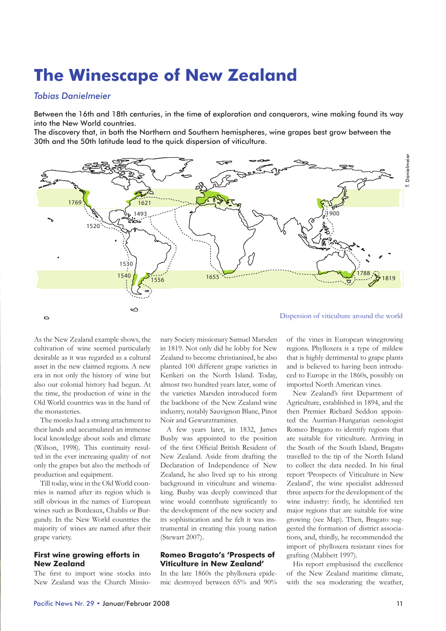# **The Winescape of New Zealand**

## *Tobias Danielmeier*

Between the 16th and 18th centuries, in the time of exploration and conquerors, wine making found its way into the New World countries.

The discovery that, in both the Northern and Southern hemispheres, wine grapes best grow between the 30th and the 50th latitude lead to the quick dispersion of viticulture.



As the New Zealand example shows, the cultivation of wine seemed particularly desirable as it was regarded as a cultural asset in the new claimed regions. A new era in not only the history of wine but also our colonial history had begun. At the time, the production of wine in the Old World countries was in the hand of the monasteries.

The monks had a strong attachment to their lands and accumulated an immense local knowledge about soils and climate (Wilson, 1998). This continuity resulted in the ever increasing quality of not only the grapes but also the methods of production and equipment.

Till today, wine in the Old World countries is named after its region which is still obvious in the names of European wines such as Bordeaux, Chablis or Burgundy. In the New World countries the majority of wines are named after their grape variety.

## **First wine growing efforts in New Zealand**

The first to import wine stocks into New Zealand was the Church Missionary Society missionary Samuel Marsden in 1819. Not only did he lobby for New Zealand to become christianised, he also planted 100 different grape varieties in Kerikeri on the North Island. Today, almost two hundred years later, some of the varieties Marsden introduced form the backbone of the New Zealand wine industry, notably Sauvignon Blanc, Pinot Noir and Gewurztraminer.

A few years later, in 1832, James Busby was appointed to the position of the first Official British Resident of New Zealand. Aside from drafting the Declaration of Independence of New Zealand, he also lived up to his strong background in viticulture and winemaking. Busby was deeply convinced that wine would contribute significantly to the development of the new society and its sophistication and he felt it was instrumental in creating this young nation (Stewart 2007).

## **Romeo Bragato's 'Prospects of Viticulture in New Zealand'**

In the late 1860s the phylloxera epidemic destroyed between 65% and 90% of the vines in European winegrowing regions. Phylloxera is a type of mildew that is highly detrimental to grape plants and is believed to having been introduced to Europe in the 1860s, possibly on imported North American vines.

New Zealand's first Department of Agriculture, established in 1894, and the then Premier Richard Seddon appointed the Austrian-Hungarian oenologist Romeo Bragato to identify regions that are suitable for viticulture. Arriving in the South of the South Island, Bragato travelled to the tip of the North Island to collect the data needed. In his final report 'Prospects of Viticulture in New Zealand', the wine specialist addressed three aspects for the development of the wine industry: firstly, he identified ten major regions that are suitable for wine growing (see Map). Then, Bragato suggested the formation of district associations, and, thirdly, he recommended the import of phylloxera resistant vines for grafting (Mabbett 1997).

His report emphasised the excellence of the New Zealand maritime climate, with the sea moderating the weather,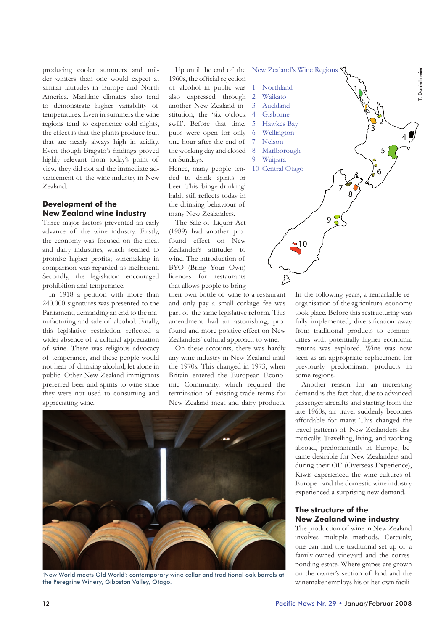producing cooler summers and milder winters than one would expect at similar latitudes in Europe and North America. Maritime climates also tend to demonstrate higher variability of temperatures. Even in summers the wine regions tend to experience cold nights, the effect is that the plants produce fruit that are nearly always high in acidity. Even though Bragato's findings proved highly relevant from today's point of view, they did not aid the immediate advancement of the wine industry in New Zealand.

## **Development of the New Zealand wine industry**

Three major factors prevented an early advance of the wine industry. Firstly, the economy was focused on the meat and dairy industries, which seemed to promise higher profits; winemaking in comparison was regarded as inefficient. Secondly, the legislation encouraged prohibition and temperance.

In 1918 a petition with more than 240.000 signatures was presented to the Parliament, demanding an end to the manufacturing and sale of alcohol. Finally, this legislative restriction reflected a wider absence of a cultural appreciation of wine. There was religious advocacy of temperance, and these people would not hear of drinking alcohol, let alone in public. Other New Zealand immigrants preferred beer and spirits to wine since they were not used to consuming and appreciating wine.

1960s, the official rejection of alcohol in public was also expressed through another New Zealand institution, the 'six o'clock swill'. Before that time, pubs were open for only one hour after the end of the working day and closed on Sundays.

Hence, many people tended to drink spirits or beer. This 'binge drinking' habit still reflects today in the drinking behaviour of many New Zealanders.

The Sale of Liquor Act (1989) had another profound effect on New Zealander's attitudes to wine. The introduction of BYO (Bring Your Own) licences for restaurants that allows people to bring

their own bottle of wine to a restaurant and only pay a small corkage fee was part of the same legislative reform. This amendment had an astonishing, profound and more positive effect on New Zealanders' cultural approach to wine.

On these accounts, there was hardly any wine industry in New Zealand until the 1970s. This changed in 1973, when Britain entered the European Economic Community, which required the termination of existing trade terms for New Zealand meat and dairy products.



'New World meets Old World': contemporary wine cellar and traditional oak barrels at the Peregrine Winery, Gibbston Valley, Otago.



In the following years, a remarkable reorganisation of the agricultural economy took place. Before this restructuring was fully implemented, diversification away from traditional products to commodities with potentially higher economic returns was explored. Wine was now seen as an appropriate replacement for previously predominant products in some regions.

Another reason for an increasing demand is the fact that, due to advanced passenger aircrafts and starting from the late 1960s, air travel suddenly becomes affordable for many. This changed the travel patterns of New Zealanders dramatically. Travelling, living, and working abroad, predominantly in Europe, became desirable for New Zealanders and during their OE (Overseas Experience), Kiwis experienced the wine cultures of Europe - and the domestic wine industry experienced a surprising new demand.

## **The structure of the New Zealand wine industry**

The production of wine in New Zealand involves multiple methods. Certainly, one can find the traditional set-up of a family-owned vineyard and the corresponding estate. Where grapes are grown on the owner's section of land and the winemaker employs his or her own facili-